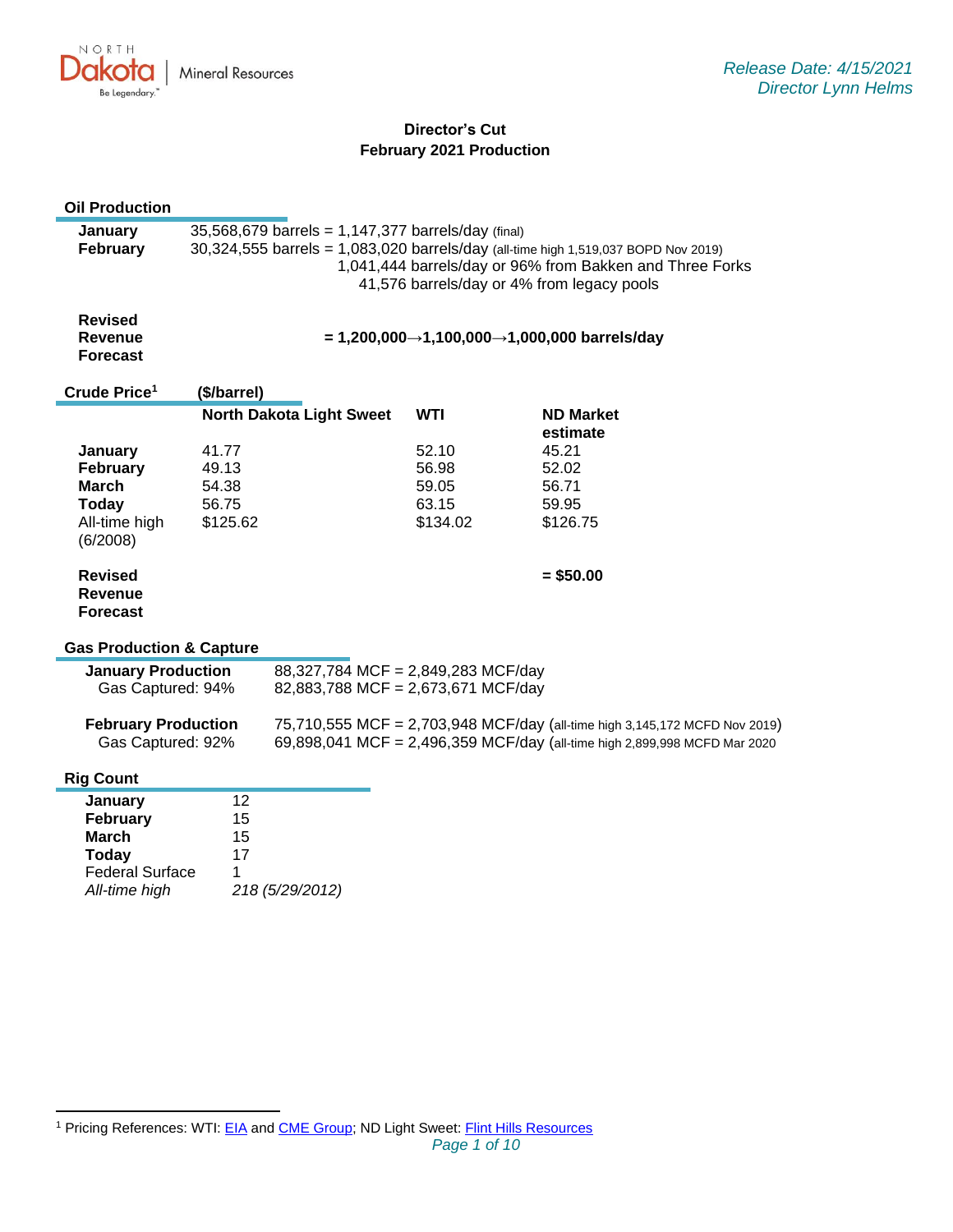

### **Director's Cut February 2021 Production**

# **Oil Production**

| January<br>February                                 | 35,568,679 barrels = 1,147,377 barrels/day (final)<br>30,324,555 barrels = 1,083,020 barrels/day (all-time high 1,519,037 BOPD Nov 2019)<br>1,041,444 barrels/day or 96% from Bakken and Three Forks |                                    |            |                                                                            |  |
|-----------------------------------------------------|------------------------------------------------------------------------------------------------------------------------------------------------------------------------------------------------------|------------------------------------|------------|----------------------------------------------------------------------------|--|
|                                                     |                                                                                                                                                                                                      |                                    |            | 41,576 barrels/day or 4% from legacy pools                                 |  |
| <b>Revised</b><br><b>Revenue</b><br><b>Forecast</b> | = 1,200,000→1,100,000→1,000,000 barrels/day                                                                                                                                                          |                                    |            |                                                                            |  |
| Crude Price <sup>1</sup>                            | (\$/barrel)                                                                                                                                                                                          |                                    |            |                                                                            |  |
|                                                     |                                                                                                                                                                                                      | <b>North Dakota Light Sweet</b>    | <b>WTI</b> | <b>ND Market</b><br>estimate                                               |  |
| January                                             | 41.77                                                                                                                                                                                                |                                    | 52.10      | 45.21                                                                      |  |
| February                                            | 49.13                                                                                                                                                                                                |                                    | 56.98      | 52.02                                                                      |  |
| March                                               | 54.38                                                                                                                                                                                                |                                    | 59.05      | 56.71                                                                      |  |
| Today                                               | 56.75                                                                                                                                                                                                |                                    | 63.15      | 59.95                                                                      |  |
| All-time high<br>(6/2008)                           | \$125.62                                                                                                                                                                                             |                                    | \$134.02   | \$126.75                                                                   |  |
| <b>Revised</b><br><b>Revenue</b><br><b>Forecast</b> |                                                                                                                                                                                                      |                                    |            | $= $50.00$                                                                 |  |
| <b>Gas Production &amp; Capture</b>                 |                                                                                                                                                                                                      |                                    |            |                                                                            |  |
| <b>January Production</b>                           |                                                                                                                                                                                                      | 88,327,784 MCF = 2,849,283 MCF/day |            |                                                                            |  |
| Gas Captured: 94%                                   |                                                                                                                                                                                                      | 82,883,788 MCF = 2,673,671 MCF/day |            |                                                                            |  |
| <b>February Production</b>                          |                                                                                                                                                                                                      |                                    |            | 75,710,555 MCF = 2,703,948 MCF/day (all-time high 3,145,172 MCFD Nov 2019) |  |
| Gas Captured: 92%                                   |                                                                                                                                                                                                      |                                    |            | 69,898,041 MCF = 2,496,359 MCF/day (all-time high 2,899,998 MCFD Mar 2020  |  |
| <b>Rig Count</b>                                    |                                                                                                                                                                                                      |                                    |            |                                                                            |  |
| January                                             | 12                                                                                                                                                                                                   |                                    |            |                                                                            |  |
| February                                            | 15                                                                                                                                                                                                   |                                    |            |                                                                            |  |
| <b>March</b>                                        | 15                                                                                                                                                                                                   |                                    |            |                                                                            |  |
| <b>Today</b>                                        | 17                                                                                                                                                                                                   |                                    |            |                                                                            |  |
| <b>Federal Surface</b>                              | 1                                                                                                                                                                                                    |                                    |            |                                                                            |  |
| All-time high                                       |                                                                                                                                                                                                      | 218 (5/29/2012)                    |            |                                                                            |  |

<sup>&</sup>lt;sup>1</sup> Pricing References: WTI: [EIA](https://www.eia.gov/dnav/pet/hist/LeafHandler.ashx?n=PET&s=RCLC1&f=M) and [CME Group;](https://www.cmegroup.com/trading/energy/crude-oil/light-sweet-crude.html) ND Light Sweet: [Flint Hills Resources](https://www.fhr.com/products-services/fuels-and-aromatics)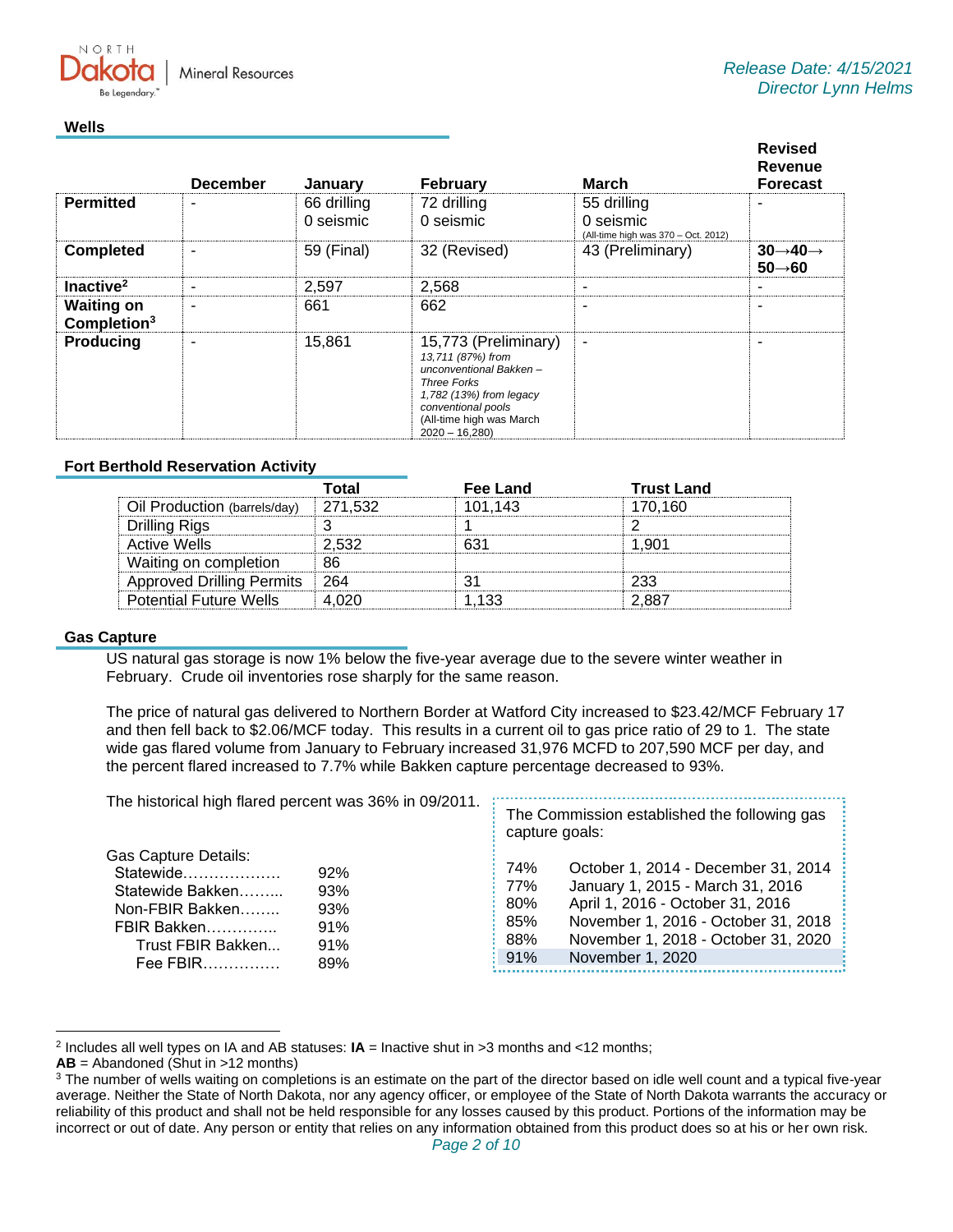**Mineral Resources** 

#### **Wells**

 $N \cap P T$ 

|                                     | <b>December</b> | <b>January</b>           | <b>February</b>                                                                                                                                                                           | March                                                           | <b>Revised</b><br>Revenue<br><b>Forecast</b>           |
|-------------------------------------|-----------------|--------------------------|-------------------------------------------------------------------------------------------------------------------------------------------------------------------------------------------|-----------------------------------------------------------------|--------------------------------------------------------|
| <b>Permitted</b>                    |                 | 66 drilling<br>0 seismic | 72 drilling<br>0 seismic                                                                                                                                                                  | 55 drilling<br>0 seismic<br>(All-time high was 370 - Oct. 2012) |                                                        |
| <b>Completed</b>                    |                 | 59 (Final)               | 32 (Revised)                                                                                                                                                                              | 43 (Preliminary)                                                | $30 \rightarrow 40 \rightarrow$<br>$50 \rightarrow 60$ |
| Inactive <sup>2</sup>               |                 | 2,597                    | 2,568                                                                                                                                                                                     | ۰                                                               | -                                                      |
| <b>Waiting on</b><br>Completion $3$ |                 | 661                      | 662                                                                                                                                                                                       | ۰                                                               |                                                        |
| <b>Producing</b>                    |                 | 15,861                   | 15,773 (Preliminary)<br>13,711 (87%) from<br>unconventional Bakken-<br><b>Three Forks</b><br>1,782 (13%) from legacy<br>conventional pools<br>(All-time high was March<br>$2020 - 16,280$ | $\overline{\phantom{a}}$                                        |                                                        |

### **Fort Berthold Reservation Activity**

|                                  | Total   | Fee Land | <b>Trust Land</b> |
|----------------------------------|---------|----------|-------------------|
| Oil Production (barrels/day)     | 271.532 | 101.143  | 170.160           |
| Drilling Rigs                    |         |          |                   |
| Active Wells                     | 2.532   |          | 1.901             |
| Waiting on completion            | 86      |          |                   |
| <b>Approved Drilling Permits</b> | -264    |          | 233               |
| <b>Potential Future Wells</b>    | ハンロ     | 1.133    | 2.887             |

### **Gas Capture**

US natural gas storage is now 1% below the five-year average due to the severe winter weather in February. Crude oil inventories rose sharply for the same reason.

The price of natural gas delivered to Northern Border at Watford City increased to \$23.42/MCF February 17 and then fell back to \$2.06/MCF today. This results in a current oil to gas price ratio of 29 to 1. The state wide gas flared volume from January to February increased 31,976 MCFD to 207,590 MCF per day, and the percent flared increased to 7.7% while Bakken capture percentage decreased to 93%.

| The historical high flared percent was 36% in 09/2011.                                                                   |                                        | The Commission established the following gas<br>capture goals: |                                                                                                                                                                                                               |
|--------------------------------------------------------------------------------------------------------------------------|----------------------------------------|----------------------------------------------------------------|---------------------------------------------------------------------------------------------------------------------------------------------------------------------------------------------------------------|
| Gas Capture Details:<br>Statewide<br>Statewide Bakken<br>Non-FBIR Bakken<br>FBIR Bakken<br>Trust FBIR Bakken<br>Fee FBIR | 92%<br>93%<br>93%<br>91%<br>91%<br>89% | 74%<br>77%<br>80%<br>85%<br>88%<br>91%                         | October 1, 2014 - December 31, 2014<br>January 1, 2015 - March 31, 2016<br>April 1, 2016 - October 31, 2016<br>November 1, 2016 - October 31, 2018<br>November 1, 2018 - October 31, 2020<br>November 1, 2020 |

<sup>2</sup> Includes all well types on IA and AB statuses: **IA** = Inactive shut in >3 months and <12 months;

**AB** = Abandoned (Shut in >12 months)

<sup>&</sup>lt;sup>3</sup> The number of wells waiting on completions is an estimate on the part of the director based on idle well count and a typical five-year average. Neither the State of North Dakota, nor any agency officer, or employee of the State of North Dakota warrants the accuracy or reliability of this product and shall not be held responsible for any losses caused by this product. Portions of the information may be incorrect or out of date. Any person or entity that relies on any information obtained from this product does so at his or her own risk.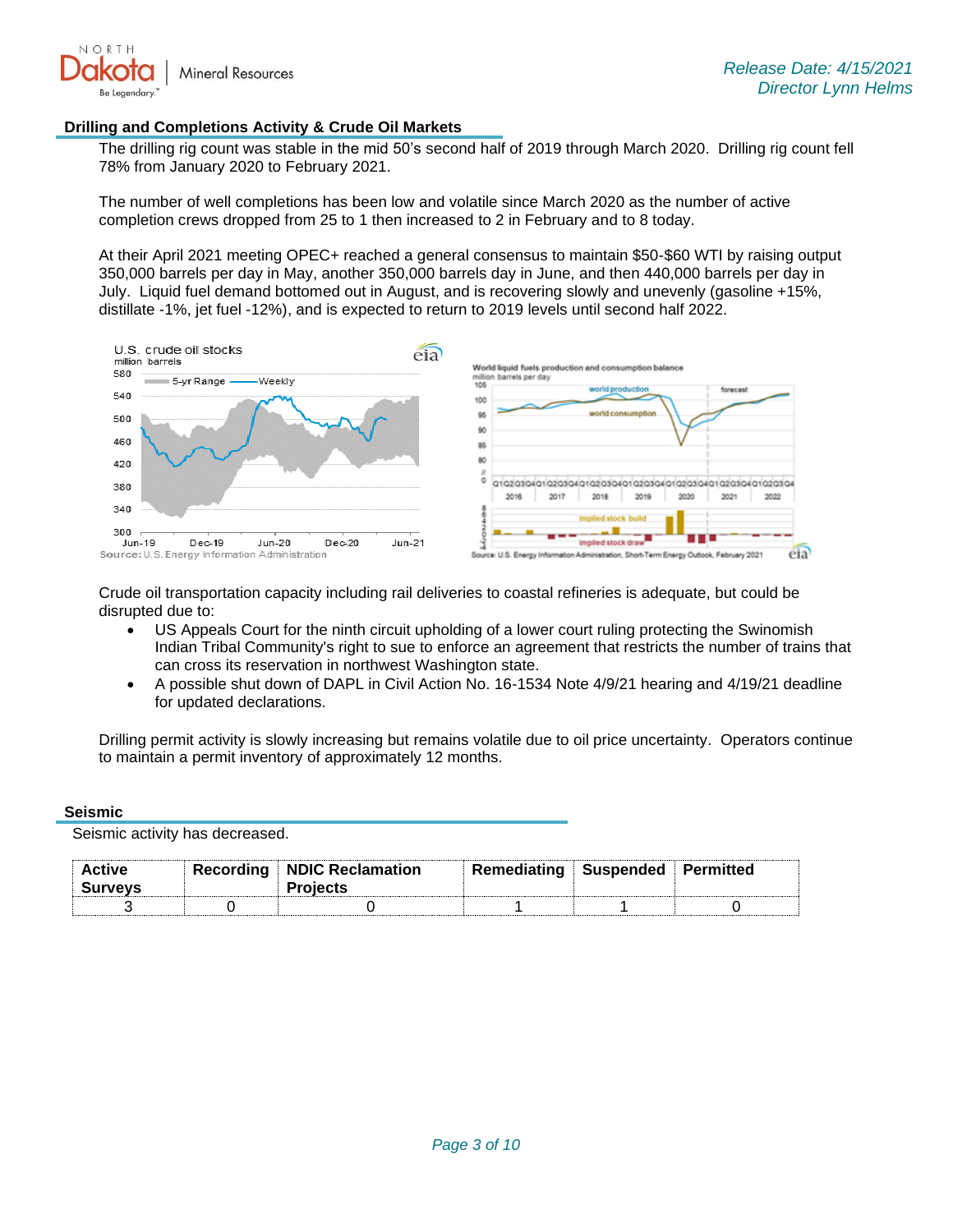

### **Drilling and Completions Activity & Crude Oil Markets**

The drilling rig count was stable in the mid 50's second half of 2019 through March 2020. Drilling rig count fell 78% from January 2020 to February 2021.

The number of well completions has been low and volatile since March 2020 as the number of active completion crews dropped from 25 to 1 then increased to 2 in February and to 8 today.

At their April 2021 meeting OPEC+ reached a general consensus to maintain \$50-\$60 WTI by raising output 350,000 barrels per day in May, another 350,000 barrels day in June, and then 440,000 barrels per day in July. Liquid fuel demand bottomed out in August, and is recovering slowly and unevenly (gasoline +15%, distillate -1%, jet fuel -12%), and is expected to return to 2019 levels until second half 2022.



Crude oil transportation capacity including rail deliveries to coastal refineries is adequate, but could be disrupted due to:

- US Appeals Court for the ninth circuit upholding of a lower court ruling protecting the Swinomish Indian Tribal Community's right to sue to enforce an agreement that restricts the number of trains that can cross its reservation in northwest Washington state.
- A possible shut down of DAPL in Civil Action No. 16-1534 Note 4/9/21 hearing and 4/19/21 deadline for updated declarations.

Drilling permit activity is slowly increasing but remains volatile due to oil price uncertainty. Operators continue to maintain a permit inventory of approximately 12 months.

#### **Seismic**

Seismic activity has decreased.

| ∖ctive<br>vev: | Recording | <b>NDIC Reclamation</b> | Remediating | Suspended | itted |
|----------------|-----------|-------------------------|-------------|-----------|-------|
|                |           |                         |             |           |       |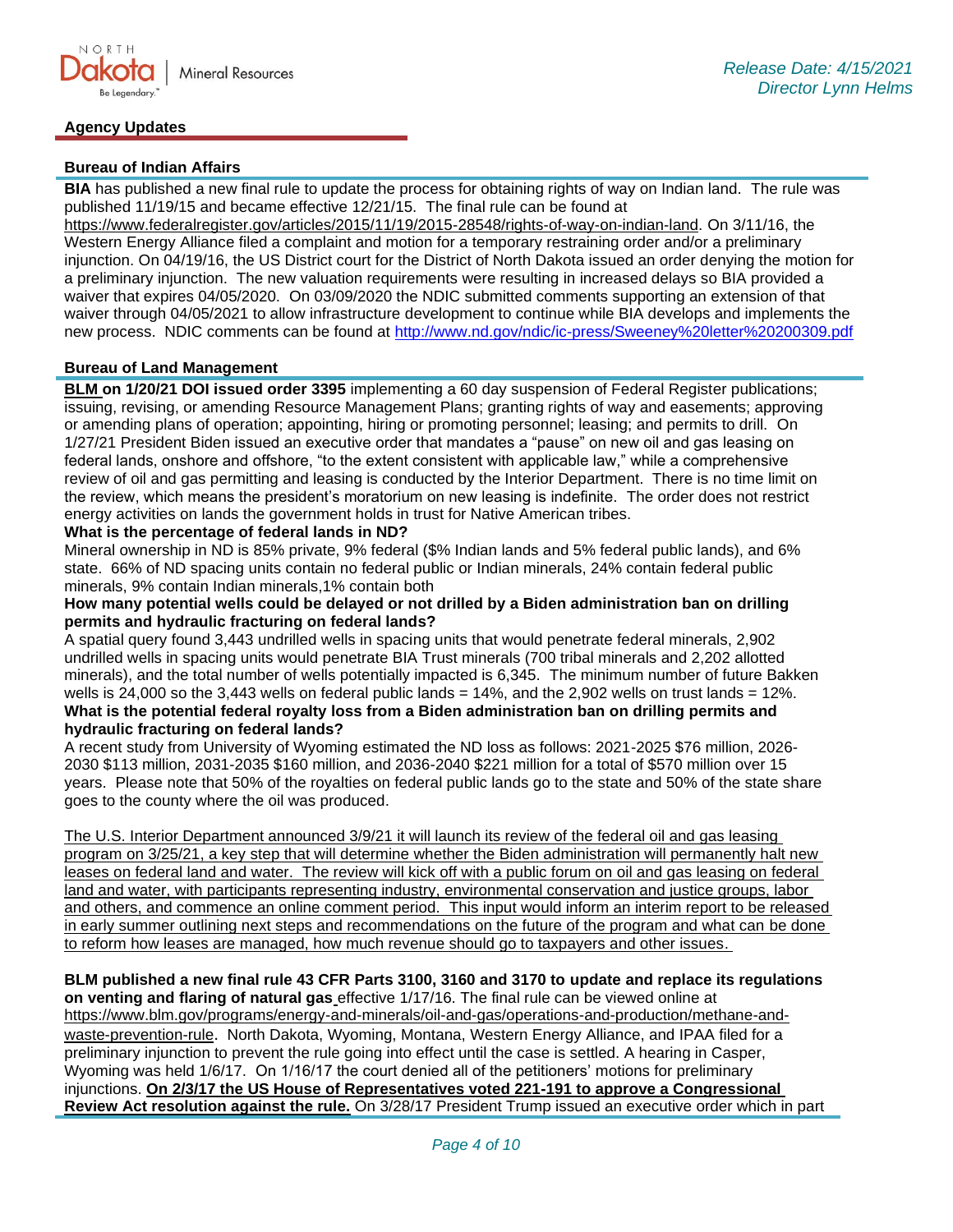### **Agency Updates**

## **Bureau of Indian Affairs**

**BIA** has published a new final rule to update the process for obtaining rights of way on Indian land. The rule was published 11/19/15 and became effective 12/21/15. The final rule can be found at

[https://www.federalregister.gov/articles/2015/11/19/2015-28548/rights-of-way-on-indian-land.](https://gcc02.safelinks.protection.outlook.com/?url=https%3A%2F%2Fwww.federalregister.gov%2Farticles%2F2015%2F11%2F19%2F2015-28548%2Frights-of-way-on-indian-land&data=04%7C01%7Ckahaarsager%40nd.gov%7C6928b6351bcb4a1a121b08d8b9647a47%7C2dea0464da514a88bae2b3db94bc0c54%7C0%7C0%7C637463188508268796%7CUnknown%7CTWFpbGZsb3d8eyJWIjoiMC4wLjAwMDAiLCJQIjoiV2luMzIiLCJBTiI6Ik1haWwiLCJXVCI6Mn0%3D%7C1000&sdata=a5l0ZWxiv927whetB9b%2F6DI4m6QOmSlIFot7WWc%2FKto%3D&reserved=0) On 3/11/16, the Western Energy Alliance filed a complaint and motion for a temporary restraining order and/or a preliminary injunction. On 04/19/16, the US District court for the District of North Dakota issued an order denying the motion for a preliminary injunction. The new valuation requirements were resulting in increased delays so BIA provided a waiver that expires 04/05/2020. On 03/09/2020 the NDIC submitted comments supporting an extension of that waiver through 04/05/2021 to allow infrastructure development to continue while BIA develops and implements the new process. NDIC comments can be found at<http://www.nd.gov/ndic/ic-press/Sweeney%20letter%20200309.pdf>

# **Bureau of Land Management**

**BLM on 1/20/21 DOI issued order 3395** implementing a 60 day suspension of Federal Register publications; issuing, revising, or amending Resource Management Plans; granting rights of way and easements; approving or amending plans of operation; appointing, hiring or promoting personnel; leasing; and permits to drill. On 1/27/21 President Biden issued an executive order that mandates a "pause" on new oil and gas leasing on federal lands, onshore and offshore, "to the extent consistent with applicable law," while a comprehensive review of oil and gas permitting and leasing is conducted by the Interior Department. There is no time limit on the review, which means the president's moratorium on new leasing is indefinite. The order does not restrict energy activities on lands the government holds in trust for Native American tribes.

# **What is the percentage of federal lands in ND?**

Mineral ownership in ND is 85% private, 9% federal (\$% Indian lands and 5% federal public lands), and 6% state. 66% of ND spacing units contain no federal public or Indian minerals, 24% contain federal public minerals, 9% contain Indian minerals,1% contain both

### **How many potential wells could be delayed or not drilled by a Biden administration ban on drilling permits and hydraulic fracturing on federal lands?**

A spatial query found 3,443 undrilled wells in spacing units that would penetrate federal minerals, 2,902 undrilled wells in spacing units would penetrate BIA Trust minerals (700 tribal minerals and 2,202 allotted minerals), and the total number of wells potentially impacted is 6,345. The minimum number of future Bakken wells is 24,000 so the 3,443 wells on federal public lands = 14%, and the 2,902 wells on trust lands = 12%. **What is the potential federal royalty loss from a Biden administration ban on drilling permits and hydraulic fracturing on federal lands?**

A recent study from University of Wyoming estimated the ND loss as follows: 2021-2025 \$76 million, 2026- 2030 \$113 million, 2031-2035 \$160 million, and 2036-2040 \$221 million for a total of \$570 million over 15 years. Please note that 50% of the royalties on federal public lands go to the state and 50% of the state share goes to the county where the oil was produced.

The U.S. Interior Department announced 3/9/21 it will launch its review of the federal oil and gas leasing program on 3/25/21, a key step that will determine whether the Biden administration will permanently halt new leases on federal land and water. The review will kick off with a public forum on oil and gas leasing on federal land and water, with participants representing industry, environmental conservation and justice groups, labor and others, and commence an online comment period. This input would inform an interim report to be released in early summer outlining next steps and recommendations on the future of the program and what can be done to reform how leases are managed, how much revenue should go to taxpayers and other issues.

**BLM published a new final rule 43 CFR Parts 3100, 3160 and 3170 to update and replace its regulations on venting and flaring of natural gas** effective 1/17/16. The final rule can be viewed online at [https://www.blm.gov/programs/energy-and-minerals/oil-and-gas/operations-and-production/methane-and](https://gcc02.safelinks.protection.outlook.com/?url=https%3A%2F%2Fwww.blm.gov%2Fprograms%2Fenergy-and-minerals%2Foil-and-gas%2Foperations-and-production%2Fmethane-and-waste-prevention-rule&data=04%7C01%7Ckahaarsager%40nd.gov%7C64e9a945339a4db3b04008d9001f8e8f%7C2dea0464da514a88bae2b3db94bc0c54%7C0%7C0%7C637540957796632164%7CUnknown%7CTWFpbGZsb3d8eyJWIjoiMC4wLjAwMDAiLCJQIjoiV2luMzIiLCJBTiI6Ik1haWwiLCJXVCI6Mn0%3D%7C1000&sdata=IVL60mcJ8XZX009RnF%2Br5Zn%2BJXIrzFZ5YmdHxLVi3PA%3D&reserved=0)[waste-prevention-rule](https://gcc02.safelinks.protection.outlook.com/?url=https%3A%2F%2Fwww.blm.gov%2Fprograms%2Fenergy-and-minerals%2Foil-and-gas%2Foperations-and-production%2Fmethane-and-waste-prevention-rule&data=04%7C01%7Ckahaarsager%40nd.gov%7C64e9a945339a4db3b04008d9001f8e8f%7C2dea0464da514a88bae2b3db94bc0c54%7C0%7C0%7C637540957796632164%7CUnknown%7CTWFpbGZsb3d8eyJWIjoiMC4wLjAwMDAiLCJQIjoiV2luMzIiLCJBTiI6Ik1haWwiLCJXVCI6Mn0%3D%7C1000&sdata=IVL60mcJ8XZX009RnF%2Br5Zn%2BJXIrzFZ5YmdHxLVi3PA%3D&reserved=0). North Dakota, Wyoming, Montana, Western Energy Alliance, and IPAA filed for a preliminary injunction to prevent the rule going into effect until the case is settled. A hearing in Casper, Wyoming was held 1/6/17. On 1/16/17 the court denied all of the petitioners' motions for preliminary injunctions. **On 2/3/17 the US House of Representatives voted 221-191 to approve a Congressional Review Act resolution against the rule.** On 3/28/17 President Trump issued an executive order which in part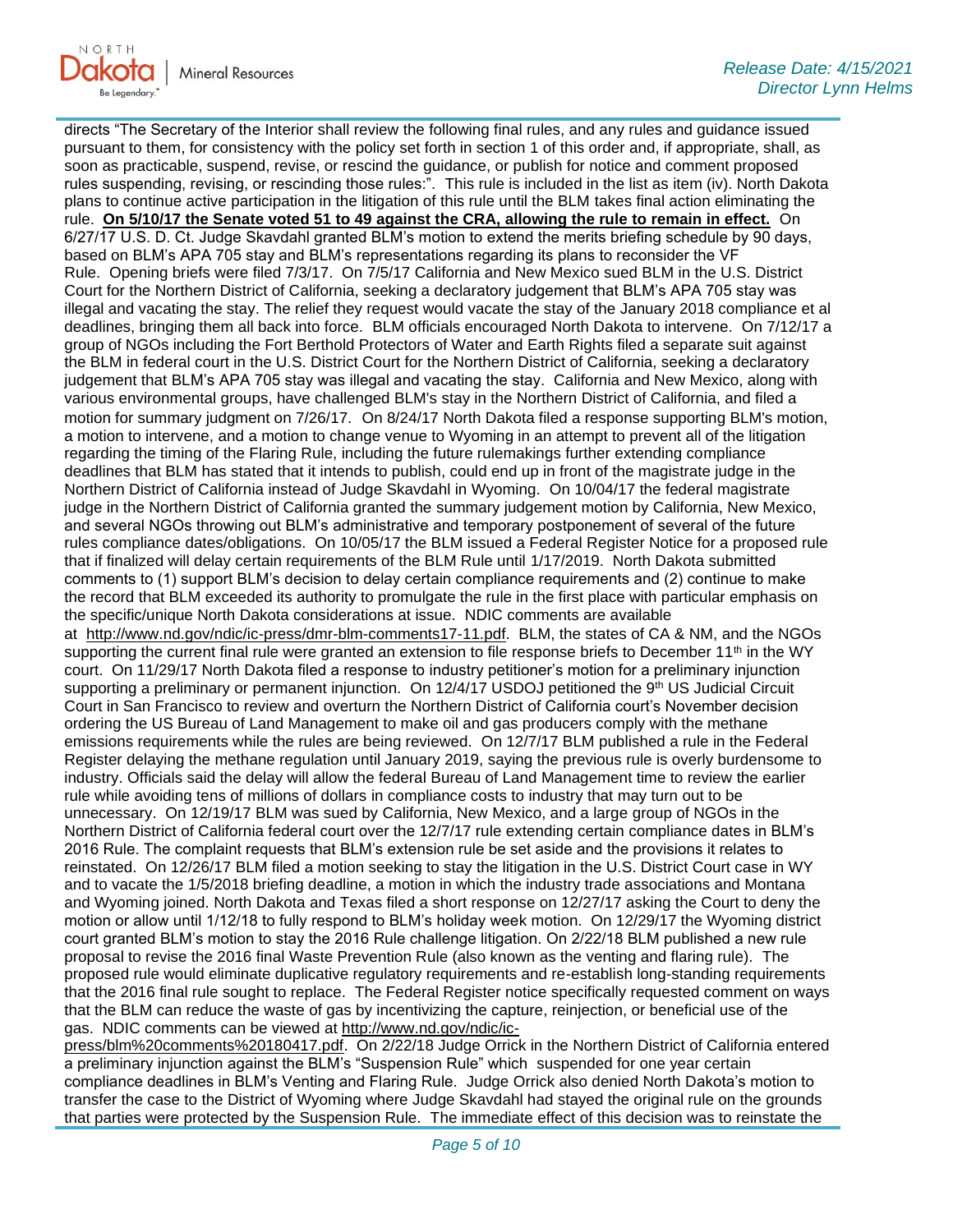

directs "The Secretary of the Interior shall review the following final rules, and any rules and guidance issued pursuant to them, for consistency with the policy set forth in section 1 of this order and, if appropriate, shall, as soon as practicable, suspend, revise, or rescind the guidance, or publish for notice and comment proposed rules suspending, revising, or rescinding those rules:". This rule is included in the list as item (iv). North Dakota plans to continue active participation in the litigation of this rule until the BLM takes final action eliminating the rule. **On 5/10/17 the Senate voted 51 to 49 against the CRA, allowing the rule to remain in effect.** On 6/27/17 U.S. D. Ct. Judge Skavdahl granted BLM's motion to extend the merits briefing schedule by 90 days, based on BLM's APA 705 stay and BLM's representations regarding its plans to reconsider the VF Rule. Opening briefs were filed 7/3/17. On 7/5/17 California and New Mexico sued BLM in the U.S. District Court for the Northern District of California, seeking a declaratory judgement that BLM's APA 705 stay was illegal and vacating the stay. The relief they request would vacate the stay of the January 2018 compliance et al deadlines, bringing them all back into force. BLM officials encouraged North Dakota to intervene. On 7/12/17 a group of NGOs including the Fort Berthold Protectors of Water and Earth Rights filed a separate suit against the BLM in federal court in the U.S. District Court for the Northern District of California, seeking a declaratory judgement that BLM's APA 705 stay was illegal and vacating the stay. California and New Mexico, along with various environmental groups, have challenged BLM's stay in the Northern District of California, and filed a motion for summary judgment on 7/26/17. On 8/24/17 North Dakota filed a response supporting BLM's motion, a motion to intervene, and a motion to change venue to Wyoming in an attempt to prevent all of the litigation regarding the timing of the Flaring Rule, including the future rulemakings further extending compliance deadlines that BLM has stated that it intends to publish, could end up in front of the magistrate judge in the Northern District of California instead of Judge Skavdahl in Wyoming. On 10/04/17 the federal magistrate judge in the Northern District of California granted the summary judgement motion by California, New Mexico, and several NGOs throwing out BLM's administrative and temporary postponement of several of the future rules compliance dates/obligations. On 10/05/17 the BLM issued a Federal Register Notice for a proposed rule that if finalized will delay certain requirements of the BLM Rule until 1/17/2019. North Dakota submitted comments to (1) support BLM's decision to delay certain compliance requirements and (2) continue to make the record that BLM exceeded its authority to promulgate the rule in the first place with particular emphasis on the specific/unique North Dakota considerations at issue. NDIC comments are available at [http://www.nd.gov/ndic/ic-press/dmr-blm-comments17-11.pdf.](http://www.nd.gov/ndic/ic-press/dmr-blm-comments17-11.pdf) BLM, the states of CA & NM, and the NGOs supporting the current final rule were granted an extension to file response briefs to December 11<sup>th</sup> in the WY court. On 11/29/17 North Dakota filed a response to industry petitioner's motion for a preliminary injunction supporting a preliminary or permanent injunction. On 12/4/17 USDOJ petitioned the 9th US Judicial Circuit Court in San Francisco to review and overturn the Northern District of California court's November decision ordering the US Bureau of Land Management to make oil and gas producers comply with the methane emissions requirements while the rules are being reviewed. On 12/7/17 BLM published a rule in the Federal Register delaying the methane regulation until January 2019, saying the previous rule is overly burdensome to industry. Officials said the delay will allow the federal Bureau of Land Management time to review the earlier rule while avoiding tens of millions of dollars in compliance costs to industry that may turn out to be unnecessary. On 12/19/17 BLM was sued by California, New Mexico, and a large group of NGOs in the Northern District of California federal court over the 12/7/17 rule extending certain compliance dates in BLM's 2016 Rule. The complaint requests that BLM's extension rule be set aside and the provisions it relates to reinstated. On 12/26/17 BLM filed a motion seeking to stay the litigation in the U.S. District Court case in WY and to vacate the 1/5/2018 briefing deadline, a motion in which the industry trade associations and Montana and Wyoming joined. North Dakota and Texas filed a short response on 12/27/17 asking the Court to deny the motion or allow until 1/12/18 to fully respond to BLM's holiday week motion. On 12/29/17 the Wyoming district court granted BLM's motion to stay the 2016 Rule challenge litigation. On 2/22/18 BLM published a new rule proposal to revise the 2016 final Waste Prevention Rule (also known as the venting and flaring rule). The proposed rule would eliminate duplicative regulatory requirements and re-establish long-standing requirements that the 2016 final rule sought to replace. The Federal Register notice specifically requested comment on ways that the BLM can reduce the waste of gas by incentivizing the capture, reinjection, or beneficial use of the gas. NDIC comments can be viewed at [http://www.nd.gov/ndic/ic-](http://www.nd.gov/ndic/ic-press/blm%20comments%20180417.pdf)

[press/blm%20comments%20180417.pdf.](http://www.nd.gov/ndic/ic-press/blm%20comments%20180417.pdf) On 2/22/18 Judge Orrick in the Northern District of California entered a preliminary injunction against the BLM's "Suspension Rule" which suspended for one year certain compliance deadlines in BLM's Venting and Flaring Rule. Judge Orrick also denied North Dakota's motion to transfer the case to the District of Wyoming where Judge Skavdahl had stayed the original rule on the grounds that parties were protected by the Suspension Rule. The immediate effect of this decision was to reinstate the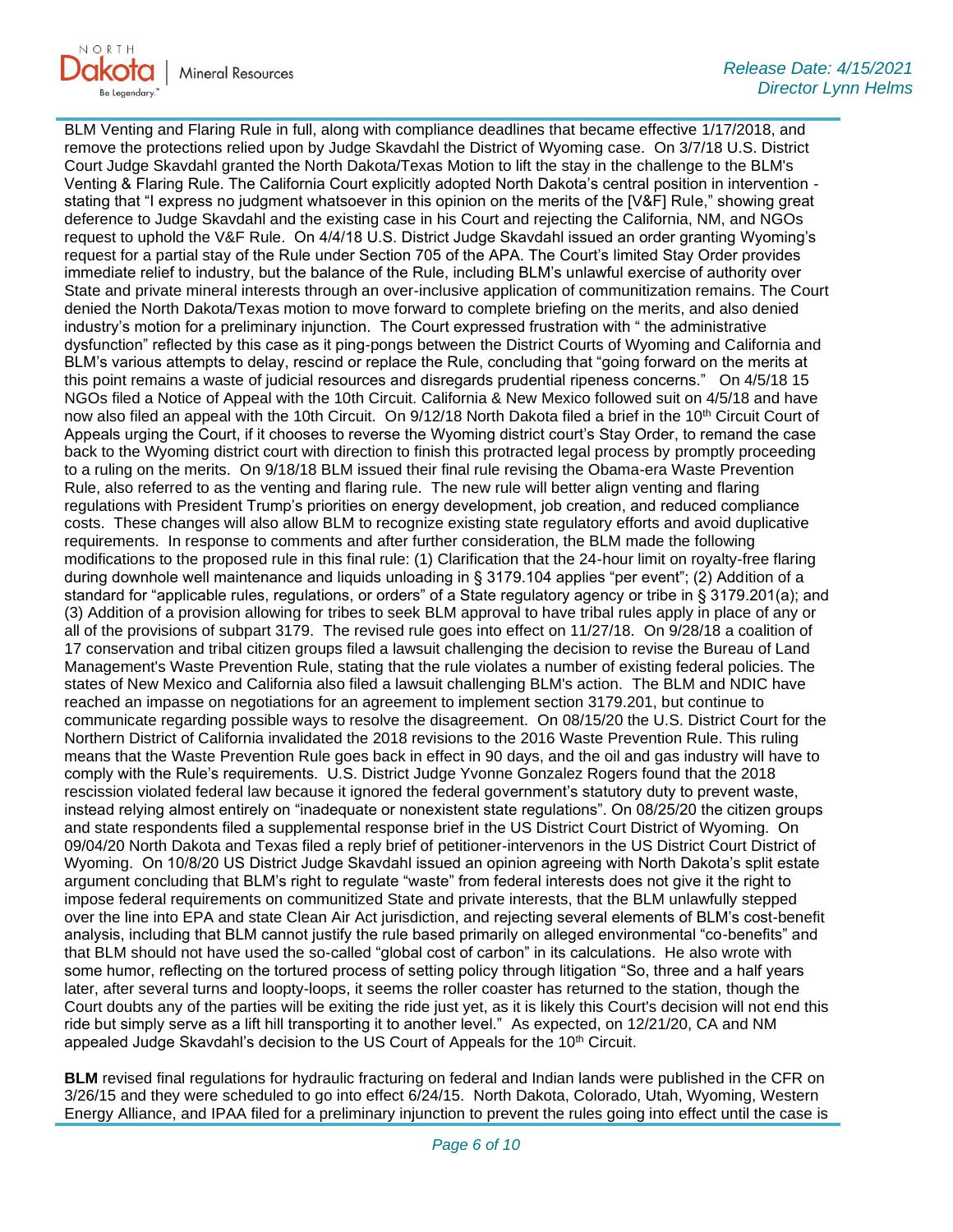

BLM Venting and Flaring Rule in full, along with compliance deadlines that became effective 1/17/2018, and remove the protections relied upon by Judge Skavdahl the District of Wyoming case. On 3/7/18 U.S. District Court Judge Skavdahl granted the North Dakota/Texas Motion to lift the stay in the challenge to the BLM's Venting & Flaring Rule. The California Court explicitly adopted North Dakota's central position in intervention stating that "I express no judgment whatsoever in this opinion on the merits of the [V&F] Rule," showing great deference to Judge Skavdahl and the existing case in his Court and rejecting the California, NM, and NGOs request to uphold the V&F Rule. On 4/4/18 U.S. District Judge Skavdahl issued an order granting Wyoming's request for a partial stay of the Rule under Section 705 of the APA. The Court's limited Stay Order provides immediate relief to industry, but the balance of the Rule, including BLM's unlawful exercise of authority over State and private mineral interests through an over-inclusive application of communitization remains. The Court denied the North Dakota/Texas motion to move forward to complete briefing on the merits, and also denied industry's motion for a preliminary injunction. The Court expressed frustration with " the administrative dysfunction" reflected by this case as it ping-pongs between the District Courts of Wyoming and California and BLM's various attempts to delay, rescind or replace the Rule, concluding that "going forward on the merits at this point remains a waste of judicial resources and disregards prudential ripeness concerns." On 4/5/18 15 NGOs filed a Notice of Appeal with the 10th Circuit. California & New Mexico followed suit on 4/5/18 and have now also filed an appeal with the 10th Circuit. On 9/12/18 North Dakota filed a brief in the 10<sup>th</sup> Circuit Court of Appeals urging the Court, if it chooses to reverse the Wyoming district court's Stay Order, to remand the case back to the Wyoming district court with direction to finish this protracted legal process by promptly proceeding to a ruling on the merits. On 9/18/18 BLM issued their final rule revising the Obama-era Waste Prevention Rule, also referred to as the venting and flaring rule. The new rule will better align venting and flaring regulations with President Trump's priorities on energy development, job creation, and reduced compliance costs. These changes will also allow BLM to recognize existing state regulatory efforts and avoid duplicative requirements. In response to comments and after further consideration, the BLM made the following modifications to the proposed rule in this final rule: (1) Clarification that the 24-hour limit on royalty-free flaring during downhole well maintenance and liquids unloading in § 3179.104 applies "per event"; (2) Addition of a standard for "applicable rules, regulations, or orders" of a State regulatory agency or tribe in § 3179.201(a); and (3) Addition of a provision allowing for tribes to seek BLM approval to have tribal rules apply in place of any or all of the provisions of subpart 3179. The revised rule goes into effect on 11/27/18. On 9/28/18 a coalition of 17 conservation and tribal citizen groups filed a lawsuit challenging the decision to revise the Bureau of Land Management's Waste Prevention Rule, stating that the rule violates a number of existing federal policies. The states of New Mexico and California also filed a lawsuit challenging BLM's action. The BLM and NDIC have reached an impasse on negotiations for an agreement to implement section 3179.201, but continue to communicate regarding possible ways to resolve the disagreement. On 08/15/20 the U.S. District Court for the Northern District of California invalidated the 2018 revisions to the 2016 Waste Prevention Rule. This ruling means that the Waste Prevention Rule goes back in effect in 90 days, and the oil and gas industry will have to comply with the Rule's requirements. U.S. District Judge Yvonne Gonzalez Rogers found that the 2018 rescission violated federal law because it ignored the federal government's statutory duty to prevent waste, instead relying almost entirely on "inadequate or nonexistent state regulations". On 08/25/20 the citizen groups and state respondents filed a supplemental response brief in the US District Court District of Wyoming. On 09/04/20 North Dakota and Texas filed a reply brief of petitioner-intervenors in the US District Court District of Wyoming. On 10/8/20 US District Judge Skavdahl issued an opinion agreeing with North Dakota's split estate argument concluding that BLM's right to regulate "waste" from federal interests does not give it the right to impose federal requirements on communitized State and private interests, that the BLM unlawfully stepped over the line into EPA and state Clean Air Act jurisdiction, and rejecting several elements of BLM's cost-benefit analysis, including that BLM cannot justify the rule based primarily on alleged environmental "co-benefits" and that BLM should not have used the so-called "global cost of carbon" in its calculations. He also wrote with some humor, reflecting on the tortured process of setting policy through litigation "So, three and a half years later, after several turns and loopty-loops, it seems the roller coaster has returned to the station, though the Court doubts any of the parties will be exiting the ride just yet, as it is likely this Court's decision will not end this ride but simply serve as a lift hill transporting it to another level." As expected, on 12/21/20, CA and NM appealed Judge Skavdahl's decision to the US Court of Appeals for the  $10<sup>th</sup>$  Circuit.

**BLM** revised final regulations for hydraulic fracturing on federal and Indian lands were published in the CFR on 3/26/15 and they were scheduled to go into effect 6/24/15. North Dakota, Colorado, Utah, Wyoming, Western Energy Alliance, and IPAA filed for a preliminary injunction to prevent the rules going into effect until the case is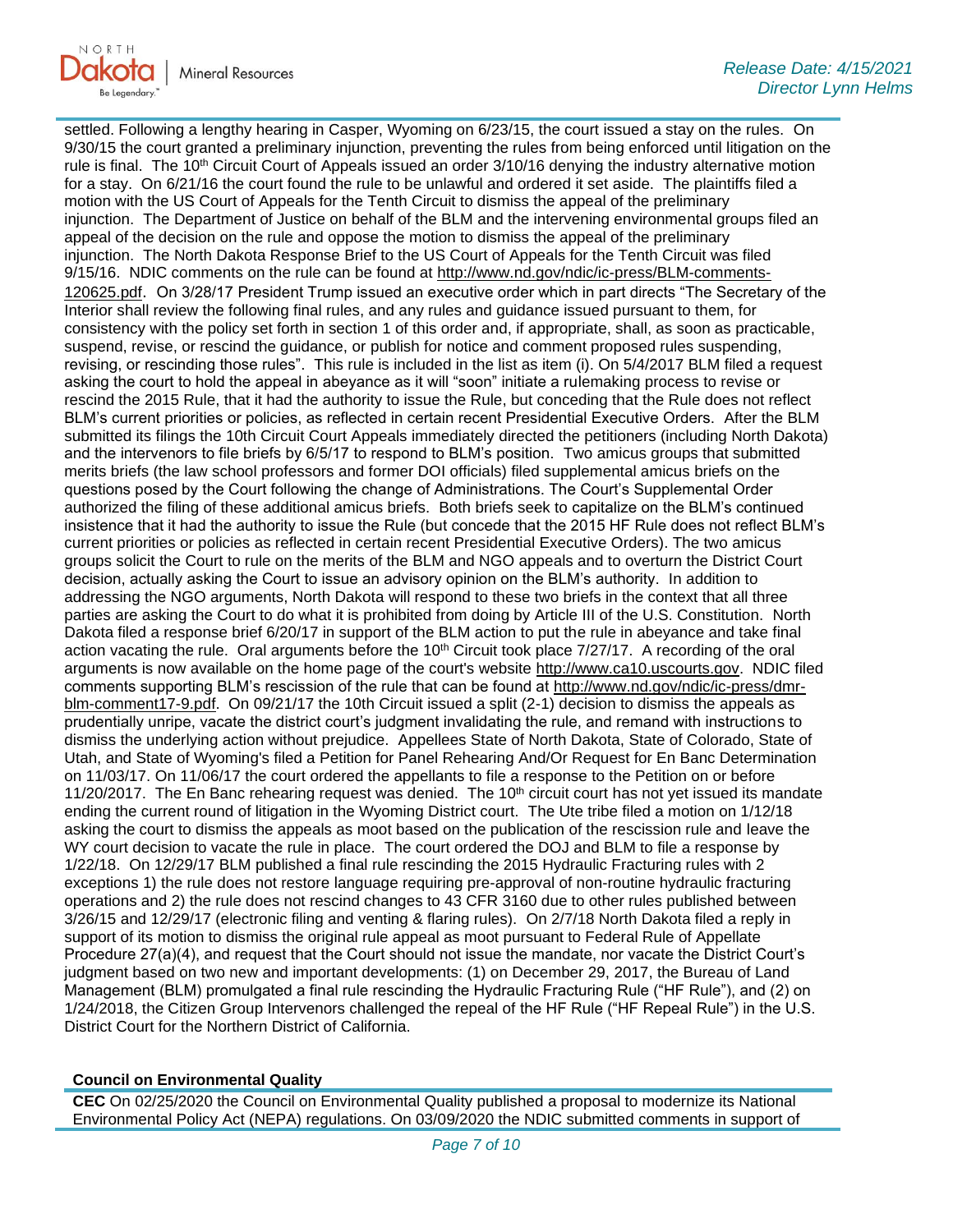

settled. Following a lengthy hearing in Casper, Wyoming on 6/23/15, the court issued a stay on the rules. On 9/30/15 the court granted a preliminary injunction, preventing the rules from being enforced until litigation on the rule is final. The 10<sup>th</sup> Circuit Court of Appeals issued an order 3/10/16 denying the industry alternative motion for a stay. On 6/21/16 the court found the rule to be unlawful and ordered it set aside. The plaintiffs filed a motion with the US Court of Appeals for the Tenth Circuit to dismiss the appeal of the preliminary injunction. The Department of Justice on behalf of the BLM and the intervening environmental groups filed an appeal of the decision on the rule and oppose the motion to dismiss the appeal of the preliminary injunction. The North Dakota Response Brief to the US Court of Appeals for the Tenth Circuit was filed 9/15/16. NDIC comments on the rule can be found at [http://www.nd.gov/ndic/ic-press/BLM-comments-](http://www.nd.gov/ndic/ic-press/BLM-comments-120625.pdf)[120625.pdf](http://www.nd.gov/ndic/ic-press/BLM-comments-120625.pdf). On 3/28/17 President Trump issued an executive order which in part directs "The Secretary of the Interior shall review the following final rules, and any rules and guidance issued pursuant to them, for consistency with the policy set forth in section 1 of this order and, if appropriate, shall, as soon as practicable, suspend, revise, or rescind the guidance, or publish for notice and comment proposed rules suspending, revising, or rescinding those rules". This rule is included in the list as item (i). On 5/4/2017 BLM filed a request asking the court to hold the appeal in abeyance as it will "soon" initiate a rulemaking process to revise or rescind the 2015 Rule, that it had the authority to issue the Rule, but conceding that the Rule does not reflect BLM's current priorities or policies, as reflected in certain recent Presidential Executive Orders. After the BLM submitted its filings the 10th Circuit Court Appeals immediately directed the petitioners (including North Dakota) and the intervenors to file briefs by 6/5/17 to respond to BLM's position. Two amicus groups that submitted merits briefs (the law school professors and former DOI officials) filed supplemental amicus briefs on the questions posed by the Court following the change of Administrations. The Court's Supplemental Order authorized the filing of these additional amicus briefs. Both briefs seek to capitalize on the BLM's continued insistence that it had the authority to issue the Rule (but concede that the 2015 HF Rule does not reflect BLM's current priorities or policies as reflected in certain recent Presidential Executive Orders). The two amicus groups solicit the Court to rule on the merits of the BLM and NGO appeals and to overturn the District Court decision, actually asking the Court to issue an advisory opinion on the BLM's authority. In addition to addressing the NGO arguments, North Dakota will respond to these two briefs in the context that all three parties are asking the Court to do what it is prohibited from doing by Article III of the U.S. Constitution. North Dakota filed a response brief 6/20/17 in support of the BLM action to put the rule in abeyance and take final action vacating the rule. Oral arguments before the 10<sup>th</sup> Circuit took place 7/27/17. A recording of the oral arguments is now available on the home page of the court's website [http://www.ca10.uscourts.gov.](https://gcc02.safelinks.protection.outlook.com/?url=https%3A%2F%2Furldefense.proofpoint.com%2Fv2%2Furl%3Fu%3Dhttp-3A__www.ca10.uscourts.gov%26d%3DDwMGaQ%26c%3D2s2mvbfY0UoSKkl6_Ol9wg%26r%3D-wqsZnBxny594KY8HeElow%26m%3DUl_VtJUX6iW5pvHjCcBxUWtskC0F4Dhry3sPtcEHvCw%26s%3DlaRHiLDv5w8otcQWQjpn82WMieoB2AZ-Q4M1LFQPL5s%26e%3D&data=04%7C01%7Ckahaarsager%40nd.gov%7C64e9a945339a4db3b04008d9001f8e8f%7C2dea0464da514a88bae2b3db94bc0c54%7C0%7C0%7C637540957796642123%7CUnknown%7CTWFpbGZsb3d8eyJWIjoiMC4wLjAwMDAiLCJQIjoiV2luMzIiLCJBTiI6Ik1haWwiLCJXVCI6Mn0%3D%7C1000&sdata=NXD0V4zYuEH7IJotnsMrD2xPQ7H%2FkLLvZKGVfLa68ek%3D&reserved=0) NDIC filed comments supporting BLM's rescission of the rule that can be found at [http://www.nd.gov/ndic/ic-press/dmr](http://www.nd.gov/ndic/ic-press/dmr-blm-comment17-9.pdf)[blm-comment17-9.pdf.](http://www.nd.gov/ndic/ic-press/dmr-blm-comment17-9.pdf) On 09/21/17 the 10th Circuit issued a split (2-1) decision to dismiss the appeals as prudentially unripe, vacate the district court's judgment invalidating the rule, and remand with instructions to dismiss the underlying action without prejudice. Appellees State of North Dakota, State of Colorado, State of Utah, and State of Wyoming's filed a Petition for Panel Rehearing And/Or Request for En Banc Determination on 11/03/17. On 11/06/17 the court ordered the appellants to file a response to the Petition on or before 11/20/2017. The En Banc rehearing request was denied. The  $10<sup>th</sup>$  circuit court has not yet issued its mandate ending the current round of litigation in the Wyoming District court. The Ute tribe filed a motion on 1/12/18 asking the court to dismiss the appeals as moot based on the publication of the rescission rule and leave the WY court decision to vacate the rule in place. The court ordered the DOJ and BLM to file a response by 1/22/18. On 12/29/17 BLM published a final rule rescinding the 2015 Hydraulic Fracturing rules with 2 exceptions 1) the rule does not restore language requiring pre-approval of non-routine hydraulic fracturing operations and 2) the rule does not rescind changes to 43 CFR 3160 due to other rules published between 3/26/15 and 12/29/17 (electronic filing and venting & flaring rules). On 2/7/18 North Dakota filed a reply in support of its motion to dismiss the original rule appeal as moot pursuant to Federal Rule of Appellate Procedure 27(a)(4), and request that the Court should not issue the mandate, nor vacate the District Court's judgment based on two new and important developments: (1) on December 29, 2017, the Bureau of Land Management (BLM) promulgated a final rule rescinding the Hydraulic Fracturing Rule ("HF Rule"), and (2) on 1/24/2018, the Citizen Group Intervenors challenged the repeal of the HF Rule ("HF Repeal Rule") in the U.S. District Court for the Northern District of California.

### **Council on Environmental Quality**

**CEC** On 02/25/2020 the Council on Environmental Quality published a proposal to modernize its National Environmental Policy Act (NEPA) regulations. On 03/09/2020 the NDIC submitted comments in support of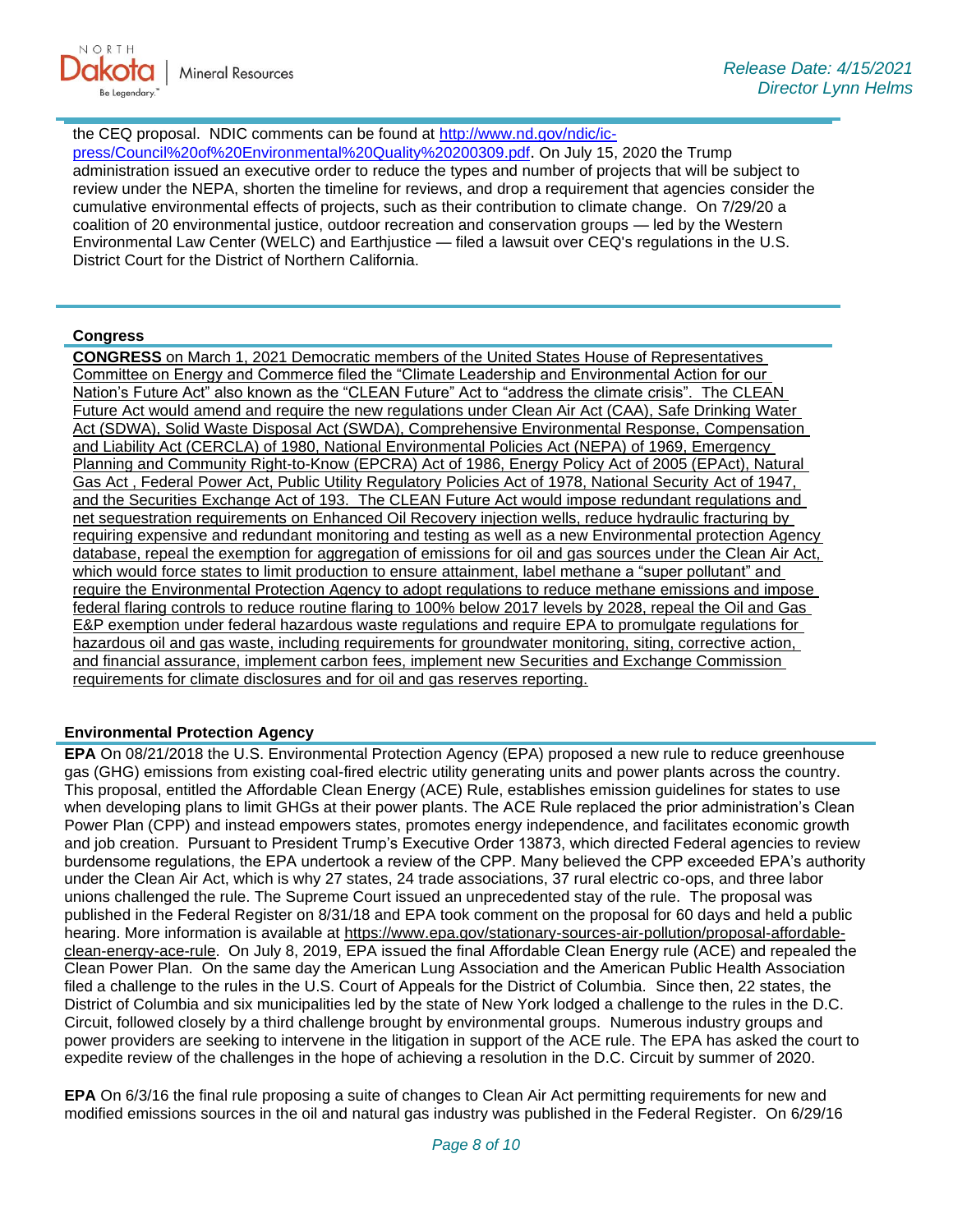

the CEQ proposal. NDIC comments can be found at [http://www.nd.gov/ndic/ic-](http://www.nd.gov/ndic/ic-press/Council%20of%20Environmental%20Quality%20200309.pdf)

[press/Council%20of%20Environmental%20Quality%20200309.pdf](http://www.nd.gov/ndic/ic-press/Council%20of%20Environmental%20Quality%20200309.pdf). On July 15, 2020 the Trump administration issued an executive order to reduce the types and number of projects that will be subject to review under the NEPA, shorten the timeline for reviews, and drop a requirement that agencies consider the cumulative environmental effects of projects, such as their contribution to climate change. On 7/29/20 a coalition of 20 environmental justice, outdoor recreation and conservation groups — led by the Western Environmental Law Center (WELC) and Earthjustice — filed a lawsuit over CEQ's regulations in the U.S. District Court for the District of Northern California.

### **Congress**

**CONGRESS** on March 1, 2021 Democratic members of the United States House of Representatives Committee on Energy and Commerce filed the "Climate Leadership and Environmental Action for our Nation's Future Act" also known as the "CLEAN Future" Act to "address the climate crisis". The CLEAN Future Act would amend and require the new regulations under Clean Air Act (CAA), Safe Drinking Water Act (SDWA), Solid Waste Disposal Act (SWDA), Comprehensive Environmental Response, Compensation and Liability Act (CERCLA) of 1980, National Environmental Policies Act (NEPA) of 1969, Emergency Planning and Community Right-to-Know (EPCRA) Act of 1986, Energy Policy Act of 2005 (EPAct), Natural Gas Act , Federal Power Act, Public Utility Regulatory Policies Act of 1978, National Security Act of 1947, and the Securities Exchange Act of 193. The CLEAN Future Act would impose redundant regulations and net sequestration requirements on Enhanced Oil Recovery injection wells, reduce hydraulic fracturing by requiring expensive and redundant monitoring and testing as well as a new Environmental protection Agency database, repeal the exemption for aggregation of emissions for oil and gas sources under the Clean Air Act, which would force states to limit production to ensure attainment, label methane a "super pollutant" and require the Environmental Protection Agency to adopt regulations to reduce methane emissions and impose federal flaring controls to reduce routine flaring to 100% below 2017 levels by 2028, repeal the Oil and Gas E&P exemption under federal hazardous waste regulations and require EPA to promulgate regulations for hazardous oil and gas waste, including requirements for groundwater monitoring, siting, corrective action, and financial assurance, implement carbon fees, implement new Securities and Exchange Commission requirements for climate disclosures and for oil and gas reserves reporting.

### **Environmental Protection Agency**

**EPA** On 08/21/2018 the U.S. Environmental Protection Agency (EPA) proposed a new rule to reduce greenhouse gas (GHG) emissions from existing coal-fired electric utility generating units and power plants across the country. This proposal, entitled the Affordable Clean Energy (ACE) Rule, establishes emission guidelines for states to use when developing plans to limit GHGs at their power plants. The ACE Rule replaced the prior administration's Clean Power Plan (CPP) and instead empowers states, promotes energy independence, and facilitates economic growth and job creation. Pursuant to President Trump's Executive Order 13873, which directed Federal agencies to review burdensome regulations, the EPA undertook a review of the CPP. Many believed the CPP exceeded EPA's authority under the Clean Air Act, which is why 27 states, 24 trade associations, 37 rural electric co-ops, and three labor unions challenged the rule. The Supreme Court issued an unprecedented stay of the rule. The proposal was published in the Federal Register on 8/31/18 and EPA took comment on the proposal for 60 days and held a public hearing. More information is available at [https://www.epa.gov/stationary-sources-air-pollution/proposal-affordable](https://gcc02.safelinks.protection.outlook.com/?url=https%3A%2F%2Fwww.epa.gov%2Fstationary-sources-air-pollution%2Fproposal-affordable-clean-energy-ace-rule&data=04%7C01%7Ckahaarsager%40nd.gov%7C64e9a945339a4db3b04008d9001f8e8f%7C2dea0464da514a88bae2b3db94bc0c54%7C0%7C0%7C637540957796642123%7CUnknown%7CTWFpbGZsb3d8eyJWIjoiMC4wLjAwMDAiLCJQIjoiV2luMzIiLCJBTiI6Ik1haWwiLCJXVCI6Mn0%3D%7C1000&sdata=JdFoUdwlir8KEjLGzu66e2GR19PrjGEckJqt5htPBQs%3D&reserved=0)[clean-energy-ace-rule.](https://gcc02.safelinks.protection.outlook.com/?url=https%3A%2F%2Fwww.epa.gov%2Fstationary-sources-air-pollution%2Fproposal-affordable-clean-energy-ace-rule&data=04%7C01%7Ckahaarsager%40nd.gov%7C64e9a945339a4db3b04008d9001f8e8f%7C2dea0464da514a88bae2b3db94bc0c54%7C0%7C0%7C637540957796642123%7CUnknown%7CTWFpbGZsb3d8eyJWIjoiMC4wLjAwMDAiLCJQIjoiV2luMzIiLCJBTiI6Ik1haWwiLCJXVCI6Mn0%3D%7C1000&sdata=JdFoUdwlir8KEjLGzu66e2GR19PrjGEckJqt5htPBQs%3D&reserved=0) On July 8, 2019, EPA issued the final Affordable Clean Energy rule (ACE) and repealed the Clean Power Plan. On the same day the American Lung Association and the American Public Health Association filed a challenge to the rules in the U.S. Court of Appeals for the District of Columbia. Since then, 22 states, the District of Columbia and six municipalities led by the state of New York lodged a challenge to the rules in the D.C. Circuit, followed closely by a third challenge brought by environmental groups. Numerous industry groups and power providers are seeking to intervene in the litigation in support of the ACE rule. The EPA has asked the court to expedite review of the challenges in the hope of achieving a resolution in the D.C. Circuit by summer of 2020.

**EPA** On 6/3/16 the final rule proposing a suite of changes to Clean Air Act permitting requirements for new and modified emissions sources in the oil and natural gas industry was published in the Federal Register. On 6/29/16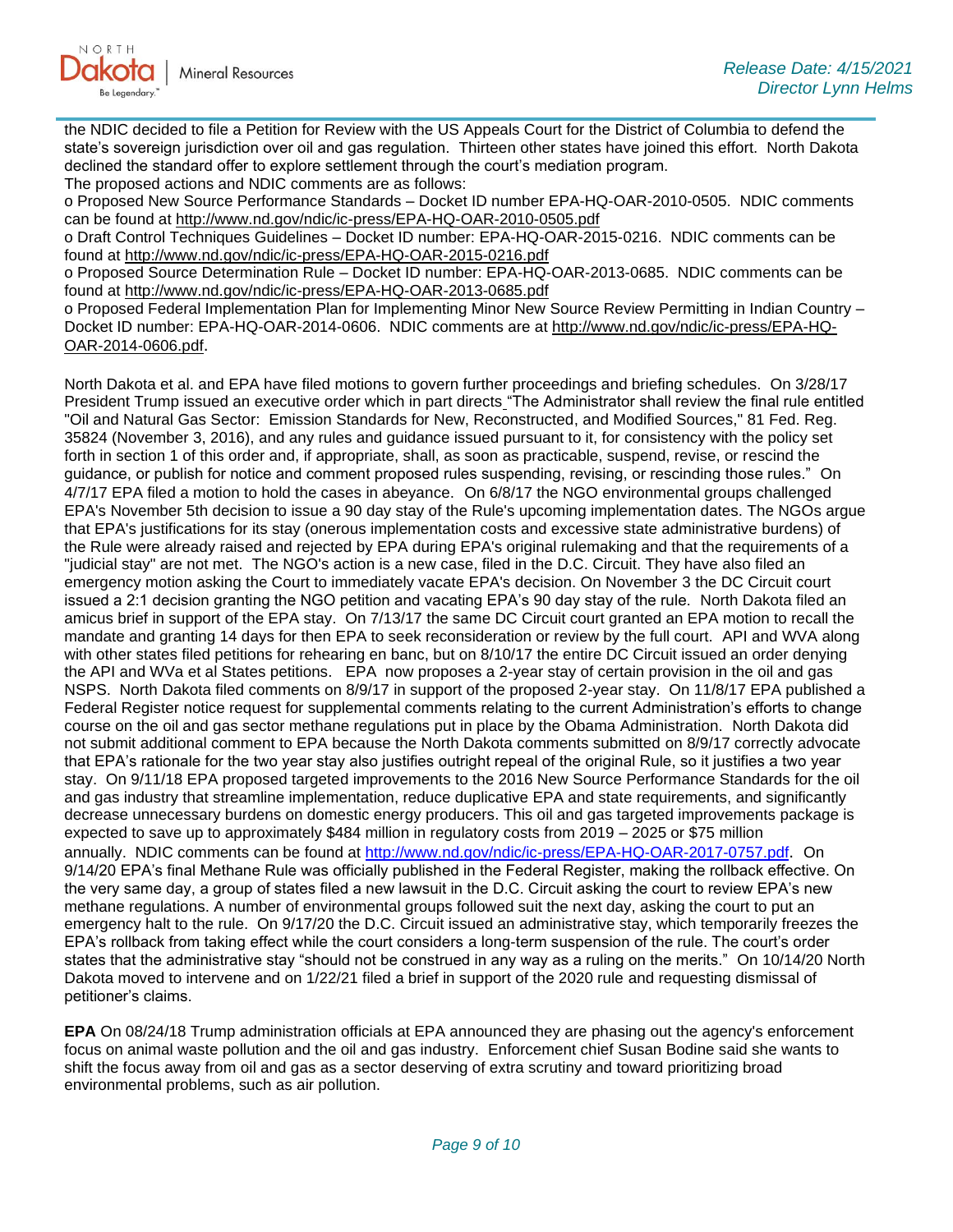

the NDIC decided to file a Petition for Review with the US Appeals Court for the District of Columbia to defend the state's sovereign jurisdiction over oil and gas regulation. Thirteen other states have joined this effort. North Dakota declined the standard offer to explore settlement through the court's mediation program.

The proposed actions and NDIC comments are as follows:

o Proposed New Source Performance Standards – Docket ID number EPA-HQ-OAR-2010-0505. NDIC comments can be found at<http://www.nd.gov/ndic/ic-press/EPA-HQ-OAR-2010-0505.pdf>

o Draft Control Techniques Guidelines – Docket ID number: EPA-HQ-OAR-2015-0216. NDIC comments can be found at<http://www.nd.gov/ndic/ic-press/EPA-HQ-OAR-2015-0216.pdf>

o Proposed Source Determination Rule – Docket ID number: EPA-HQ-OAR-2013-0685. NDIC comments can be found at<http://www.nd.gov/ndic/ic-press/EPA-HQ-OAR-2013-0685.pdf>

o Proposed Federal Implementation Plan for Implementing Minor New Source Review Permitting in Indian Country – Docket ID number: EPA-HQ-OAR-2014-0606. NDIC comments are at [http://www.nd.gov/ndic/ic-press/EPA-HQ-](http://www.nd.gov/ndic/ic-press/EPA-HQ-OAR-2014-0606.pdf)[OAR-2014-0606.pdf](http://www.nd.gov/ndic/ic-press/EPA-HQ-OAR-2014-0606.pdf).

North Dakota et al. and EPA have filed motions to govern further proceedings and briefing schedules. On 3/28/17 President Trump issued an executive order which in part directs "The Administrator shall review the final rule entitled "Oil and Natural Gas Sector: Emission Standards for New, Reconstructed, and Modified Sources," 81 Fed. Reg. 35824 (November 3, 2016), and any rules and guidance issued pursuant to it, for consistency with the policy set forth in section 1 of this order and, if appropriate, shall, as soon as practicable, suspend, revise, or rescind the guidance, or publish for notice and comment proposed rules suspending, revising, or rescinding those rules." On 4/7/17 EPA filed a motion to hold the cases in abeyance. On 6/8/17 the NGO environmental groups challenged EPA's November 5th decision to issue a 90 day stay of the Rule's upcoming implementation dates. The NGOs argue that EPA's justifications for its stay (onerous implementation costs and excessive state administrative burdens) of the Rule were already raised and rejected by EPA during EPA's original rulemaking and that the requirements of a "judicial stay" are not met. The NGO's action is a new case, filed in the D.C. Circuit. They have also filed an emergency motion asking the Court to immediately vacate EPA's decision. On November 3 the DC Circuit court issued a 2:1 decision granting the NGO petition and vacating EPA's 90 day stay of the rule. North Dakota filed an amicus brief in support of the EPA stay. On 7/13/17 the same DC Circuit court granted an EPA motion to recall the mandate and granting 14 days for then EPA to seek reconsideration or review by the full court. API and WVA along with other states filed petitions for rehearing en banc, but on 8/10/17 the entire DC Circuit issued an order denying the API and WVa et al States petitions. EPA now proposes a 2-year stay of certain provision in the oil and gas NSPS. North Dakota filed comments on 8/9/17 in support of the proposed 2-year stay. On 11/8/17 EPA published a Federal Register notice request for supplemental comments relating to the current Administration's efforts to change course on the oil and gas sector methane regulations put in place by the Obama Administration. North Dakota did not submit additional comment to EPA because the North Dakota comments submitted on 8/9/17 correctly advocate that EPA's rationale for the two year stay also justifies outright repeal of the original Rule, so it justifies a two year stay. On 9/11/18 EPA proposed targeted improvements to the 2016 New Source Performance Standards for the oil and gas industry that streamline implementation, reduce duplicative EPA and state requirements, and significantly decrease unnecessary burdens on domestic energy producers. This oil and gas targeted improvements package is expected to save up to approximately \$484 million in regulatory costs from 2019 – 2025 or \$75 million annually. NDIC comments can be found at<http://www.nd.gov/ndic/ic-press/EPA-HQ-OAR-2017-0757.pdf>. On 9/14/20 EPA's final Methane Rule was officially published in the Federal Register, making the rollback effective. On the very same day, a group of states filed a new lawsuit in the D.C. Circuit asking the court to review EPA's new methane regulations. A number of environmental groups followed suit the next day, asking the court to put an emergency halt to the rule. On 9/17/20 the D.C. Circuit issued an administrative stay, which temporarily freezes the EPA's rollback from taking effect while the court considers a long-term suspension of the rule. The court's order states that the administrative stay "should not be construed in any way as a ruling on the merits." On 10/14/20 North Dakota moved to intervene and on 1/22/21 filed a brief in support of the 2020 rule and requesting dismissal of petitioner's claims.

**EPA** On 08/24/18 Trump administration officials at EPA announced they are phasing out the agency's enforcement focus on animal waste pollution and the oil and gas industry. Enforcement chief Susan Bodine said she wants to shift the focus away from oil and gas as a sector deserving of extra scrutiny and toward prioritizing broad environmental problems, such as air pollution.